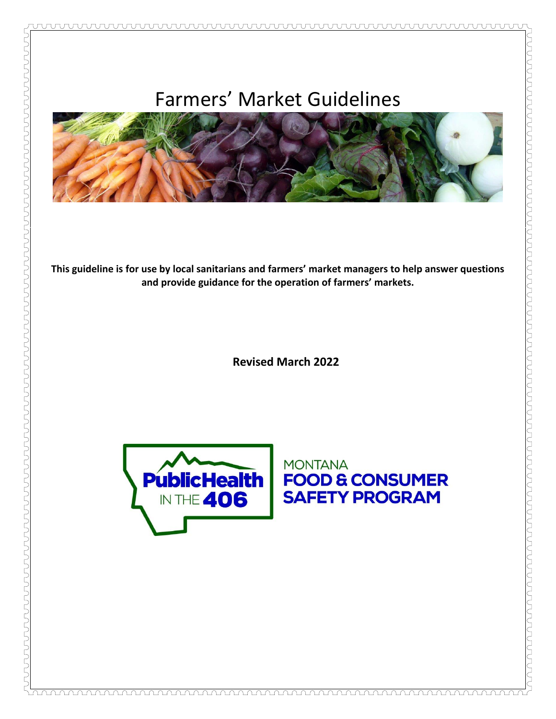

**This guideline is for use by local sanitarians and farmers' market managers to help answer questions and provide guidance for the operation of farmers' markets.**

**Revised March 2022**



<u> TUNG DE LA DE LA DE LA DE LA DE LA DE LA DE LA DE LA DE LA DE LA DE LA DE LA DE LA DE LA DE LA DE LA DE LA DE</u>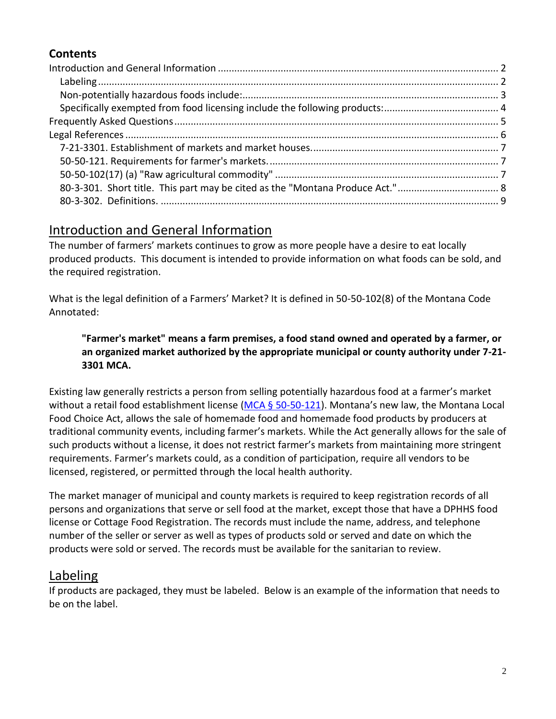## **Contents**

# <span id="page-1-0"></span>Introduction and General Information

The number of farmers' markets continues to grow as more people have a desire to eat locally produced products. This document is intended to provide information on what foods can be sold, and the required registration.

What is the legal definition of a Farmers' Market? It is defined in 50-50-102(8) of the Montana Code Annotated:

#### **"Farmer's market" means a farm premises, a food stand owned and operated by a farmer, or an organized market authorized by the appropriate municipal or county authority under 7-21- 3301 MCA.**

Existing law generally restricts a person from selling potentially hazardous food at a farmer's market without a retail food establishment license ( $MCA \frac{6}{5}$  50-50-121). Montana's new law, the Montana Local Food Choice Act, allows the sale of homemade food and homemade food products by producers at traditional community events, including farmer's markets. While the Act generally allows for the sale of such products without a license, it does not restrict farmer's markets from maintaining more stringent requirements. Farmer's markets could, as a condition of participation, require all vendors to be licensed, registered, or permitted through the local health authority.

The market manager of municipal and county markets is required to keep registration records of all persons and organizations that serve or sell food at the market, except those that have a DPHHS food license or Cottage Food Registration. The records must include the name, address, and telephone number of the seller or server as well as types of products sold or served and date on which the products were sold or served. The records must be available for the sanitarian to review.

# <span id="page-1-1"></span>Labeling

If products are packaged, they must be labeled. Below is an example of the information that needs to be on the label.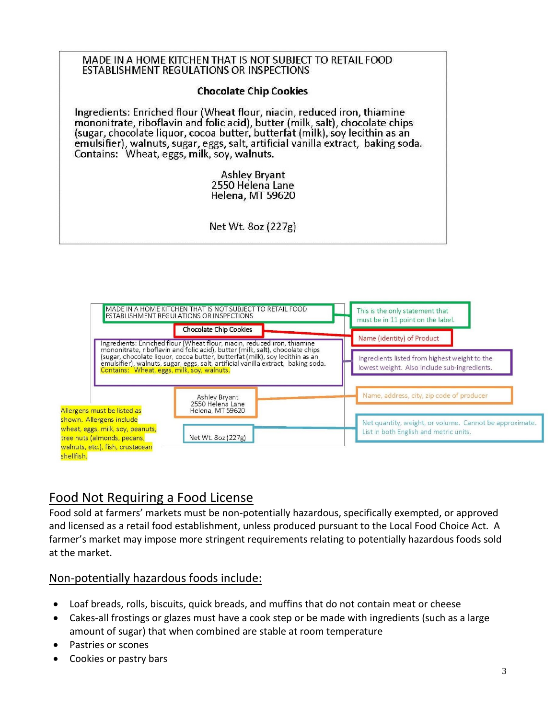



# <span id="page-2-0"></span>Food Not Requiring a Food License

Food sold at farmers' markets must be non-potentially hazardous, specifically exempted, or approved and licensed as a retail food establishment, unless produced pursuant to the Local Food Choice Act. A farmer's market may impose more stringent requirements relating to potentially hazardous foods sold at the market.

### Non-potentially hazardous foods include:

- Loaf breads, rolls, biscuits, quick breads, and muffins that do not contain meat or cheese
- Cakes-all frostings or glazes must have a cook step or be made with ingredients (such as a large amount of sugar) that when combined are stable at room temperature
- Pastries or scones
- Cookies or pastry bars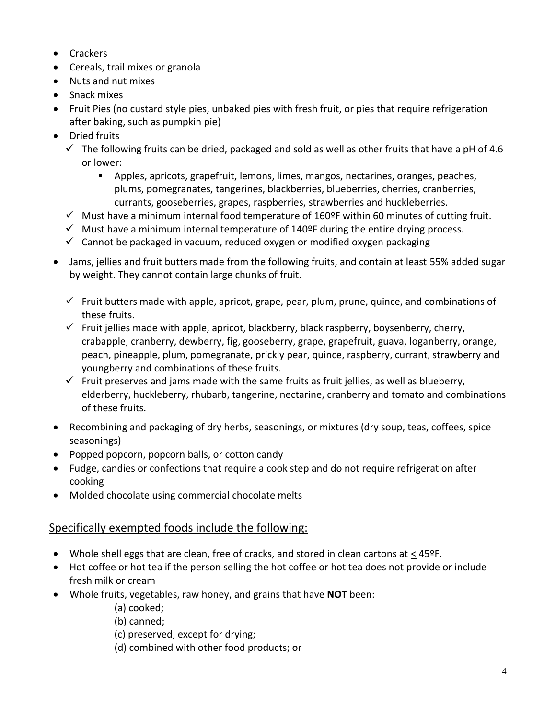- Crackers
- Cereals, trail mixes or granola
- Nuts and nut mixes
- Snack mixes
- Fruit Pies (no custard style pies, unbaked pies with fresh fruit, or pies that require refrigeration after baking, such as pumpkin pie)
- Dried fruits
	- $\checkmark$  The following fruits can be dried, packaged and sold as well as other fruits that have a pH of 4.6 or lower:
		- Apples, apricots, grapefruit, lemons, limes, mangos, nectarines, oranges, peaches, plums, pomegranates, tangerines, blackberries, blueberries, cherries, cranberries, currants, gooseberries, grapes, raspberries, strawberries and huckleberries.
	- $\checkmark$  Must have a minimum internal food temperature of 160ºF within 60 minutes of cutting fruit.
	- $\checkmark$  Must have a minimum internal temperature of 140ºF during the entire drying process.
	- $\checkmark$  Cannot be packaged in vacuum, reduced oxygen or modified oxygen packaging
- Jams, jellies and fruit butters made from the following fruits, and contain at least 55% added sugar by weight. They cannot contain large chunks of fruit.
	- $\checkmark$  Fruit butters made with apple, apricot, grape, pear, plum, prune, quince, and combinations of these fruits.
	- $\checkmark$  Fruit jellies made with apple, apricot, blackberry, black raspberry, boysenberry, cherry, crabapple, cranberry, dewberry, fig, gooseberry, grape, grapefruit, guava, loganberry, orange, peach, pineapple, plum, pomegranate, prickly pear, quince, raspberry, currant, strawberry and youngberry and combinations of these fruits.
	- $\checkmark$  Fruit preserves and jams made with the same fruits as fruit jellies, as well as blueberry, elderberry, huckleberry, rhubarb, tangerine, nectarine, cranberry and tomato and combinations of these fruits.
- Recombining and packaging of dry herbs, seasonings, or mixtures (dry soup, teas, coffees, spice seasonings)
- Popped popcorn, popcorn balls, or cotton candy
- Fudge, candies or confections that require a cook step and do not require refrigeration after cooking
- <span id="page-3-0"></span>• Molded chocolate using commercial chocolate melts

#### Specifically exempted foods include the following:

- Whole shell eggs that are clean, free of cracks, and stored in clean cartons at  $\leq 45^{\circ}$ F.
- Hot coffee or hot tea if the person selling the hot coffee or hot tea does not provide or include fresh milk or cream
- Whole fruits, vegetables, raw honey, and grains that have **NOT** been:
	- (a) cooked;
	- (b) canned;
	- (c) preserved, except for drying;
	- (d) combined with other food products; or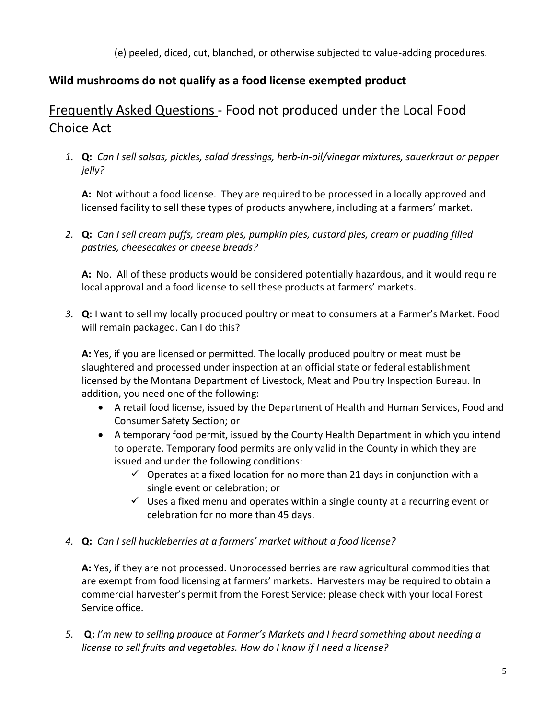(e) peeled, diced, cut, blanched, or otherwise subjected to value-adding procedures.

### **Wild mushrooms do not qualify as a food license exempted product**

# <span id="page-4-0"></span>Frequently Asked Questions - Food not produced under the Local Food Choice Act

*1.* **Q:** *Can I sell salsas, pickles, salad dressings, herb-in-oil/vinegar mixtures, sauerkraut or pepper jelly?*

**A:** Not without a food license. They are required to be processed in a locally approved and licensed facility to sell these types of products anywhere, including at a farmers' market.

*2.* **Q:** *Can I sell cream puffs, cream pies, pumpkin pies, custard pies, cream or pudding filled pastries, cheesecakes or cheese breads?*

**A:** No. All of these products would be considered potentially hazardous, and it would require local approval and a food license to sell these products at farmers' markets.

*3.* **Q:** I want to sell my locally produced poultry or meat to consumers at a Farmer's Market. Food will remain packaged. Can I do this?

**A:** Yes, if you are licensed or permitted. The locally produced poultry or meat must be slaughtered and processed under inspection at an official state or federal establishment licensed by the Montana Department of Livestock, Meat and Poultry Inspection Bureau. In addition, you need one of the following:

- A retail food license, issued by the Department of Health and Human Services, Food and Consumer Safety Section; or
- A temporary food permit, issued by the County Health Department in which you intend to operate. Temporary food permits are only valid in the County in which they are issued and under the following conditions:
	- $\checkmark$  Operates at a fixed location for no more than 21 days in conjunction with a single event or celebration; or
	- $\checkmark$  Uses a fixed menu and operates within a single county at a recurring event or celebration for no more than 45 days.
- *4.* **Q:** *Can I sell huckleberries at a farmers' market without a food license?*

**A:** Yes, if they are not processed. Unprocessed berries are raw agricultural commodities that are exempt from food licensing at farmers' markets. Harvesters may be required to obtain a commercial harvester's permit from the Forest Service; please check with your local Forest Service office.

*5.* **Q:** *I'm new to selling produce at Farmer's Markets and I heard something about needing a license to sell fruits and vegetables. How do I know if I need a license?*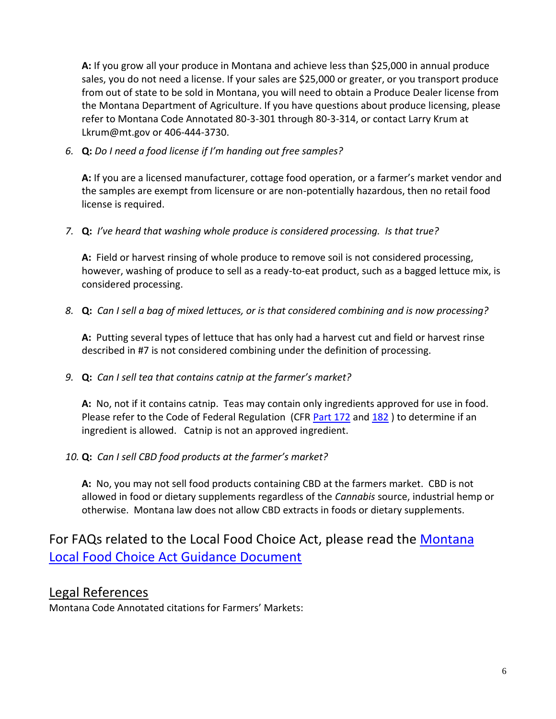**A:** If you grow all your produce in Montana and achieve less than \$25,000 in annual produce sales, you do not need a license. If your sales are \$25,000 or greater, or you transport produce from out of state to be sold in Montana, you will need to obtain a Produce Dealer license from the Montana Department of Agriculture. If you have questions about produce licensing, please refer to Montana Code Annotated 80-3-301 through 80-3-314, or contact Larry Krum at Lkrum@mt.gov or 406-444-3730.

*6.* **Q:** *Do I need a food license if I'm handing out free samples?*

**A:** If you are a licensed manufacturer, cottage food operation, or a farmer's market vendor and the samples are exempt from licensure or are non-potentially hazardous, then no retail food license is required.

*7.* **Q:** *I've heard that washing whole produce is considered processing. Is that true?*

**A:** Field or harvest rinsing of whole produce to remove soil is not considered processing, however, washing of produce to sell as a ready-to-eat product, such as a bagged lettuce mix, is considered processing.

*8.* **Q:** *Can I sell a bag of mixed lettuces, or is that considered combining and is now processing?*

**A:** Putting several types of lettuce that has only had a harvest cut and field or harvest rinse described in #7 is not considered combining under the definition of processing.

*9.* **Q:** *Can I sell tea that contains catnip at the farmer's market?*

**A:** No, not if it contains catnip. Teas may contain only ingredients approved for use in food. Please refer to the Code of Federal Regulation (CFR [Part 172](https://www.accessdata.fda.gov/scripts/cdrh/cfdocs/cfcfr/CFRSearch.cfm?CFRPart=172) and [182](https://www.accessdata.fda.gov/scripts/cdrh/cfdocs/cfcfr/CFRSearch.cfm?CFRPart=182)) to determine if an ingredient is allowed. Catnip is not an approved ingredient.

*10.* **Q:** *Can I sell CBD food products at the farmer's market?*

<span id="page-5-0"></span>**A:** No, you may not sell food products containing CBD at the farmers market. CBD is not allowed in food or dietary supplements regardless of the *Cannabis* source, industrial hemp or otherwise. Montana law does not allow CBD extracts in foods or dietary supplements.

# For FAQs related to the Local Food Choice Act, please read the [Montana](https://dphhs.mt.gov/assets/publichealth/FCS/CottageFood/MTLocalFoodChoiceActGuidanceDoc.pdf)  [Local Food Choice Act Guidance Document](https://dphhs.mt.gov/assets/publichealth/FCS/CottageFood/MTLocalFoodChoiceActGuidanceDoc.pdf)

### Legal References

Montana Code Annotated citations for Farmers' Markets: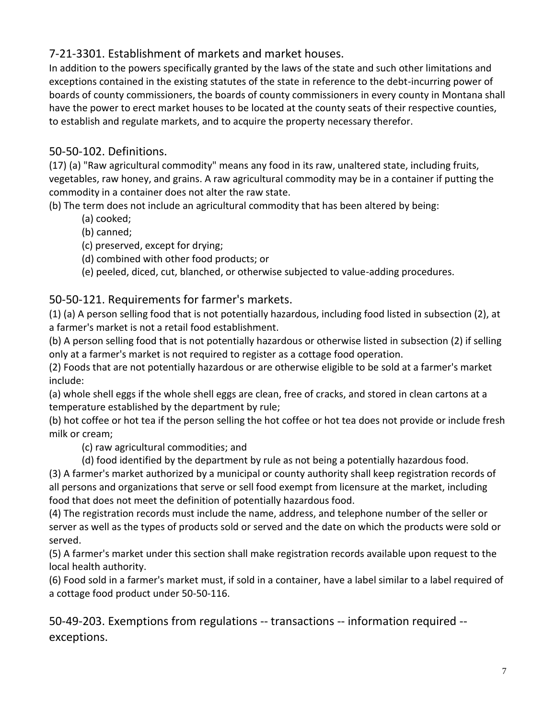## <span id="page-6-0"></span>7-21-3301. Establishment of markets and market houses.

In addition to the powers specifically granted by the laws of the state and such other limitations and exceptions contained in the existing statutes of the state in reference to the debt-incurring power of boards of county commissioners, the boards of county commissioners in every county in Montana shall have the power to erect market houses to be located at the county seats of their respective counties, to establish and regulate markets, and to acquire the property necessary therefor.

### <span id="page-6-2"></span>50-50-102. Definitions.

(17) (a) "Raw agricultural commodity" means any food in its raw, unaltered state, including fruits, vegetables, raw honey, and grains. A raw agricultural commodity may be in a container if putting the commodity in a container does not alter the raw state.

(b) The term does not include an agricultural commodity that has been altered by being:

- (a) cooked;
- (b) canned;
- (c) preserved, except for drying;
- (d) combined with other food products; or
- (e) peeled, diced, cut, blanched, or otherwise subjected to value-adding procedures.

### <span id="page-6-1"></span>50-50-121. Requirements for farmer's markets.

(1) (a) A person selling food that is not potentially hazardous, including food listed in subsection (2), at a farmer's market is not a retail food establishment.

(b) A person selling food that is not potentially hazardous or otherwise listed in subsection (2) if selling only at a farmer's market is not required to register as a cottage food operation.

(2) Foods that are not potentially hazardous or are otherwise eligible to be sold at a farmer's market include:

(a) whole shell eggs if the whole shell eggs are clean, free of cracks, and stored in clean cartons at a temperature established by the department by rule;

(b) hot coffee or hot tea if the person selling the hot coffee or hot tea does not provide or include fresh milk or cream;

(c) raw agricultural commodities; and

(d) food identified by the department by rule as not being a potentially hazardous food.

(3) A farmer's market authorized by a municipal or county authority shall keep registration records of all persons and organizations that serve or sell food exempt from licensure at the market, including food that does not meet the definition of potentially hazardous food.

(4) The registration records must include the name, address, and telephone number of the seller or server as well as the types of products sold or served and the date on which the products were sold or served.

(5) A farmer's market under this section shall make registration records available upon request to the local health authority.

(6) Food sold in a farmer's market must, if sold in a container, have a label similar to a label required of a cottage food product under 50-50-116.

50-49-203. Exemptions from regulations -- transactions -- information required - exceptions.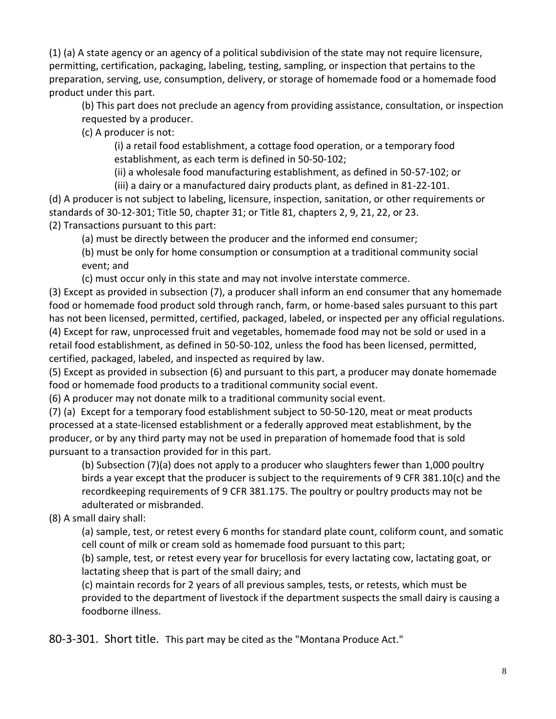(1) (a) A state agency or an agency of a political subdivision of the state may not require licensure, permitting, certification, packaging, labeling, testing, sampling, or inspection that pertains to the preparation, serving, use, consumption, delivery, or storage of homemade food or a homemade food product under this part.

(b) This part does not preclude an agency from providing assistance, consultation, or inspection requested by a producer.

(c) A producer is not:

(i) a retail food establishment, a cottage food operation, or a temporary food establishment, as each term is defined in 50-50-102;

(ii) a wholesale food manufacturing establishment, as defined in 50-57-102; or

(iii) a dairy or a manufactured dairy products plant, as defined in 81-22-101.

(d) A producer is not subject to labeling, licensure, inspection, sanitation, or other requirements or standards of 30-12-301; Title 50, chapter 31; or Title 81, chapters 2, 9, 21, 22, or 23. (2) Transactions pursuant to this part:

(a) must be directly between the producer and the informed end consumer;

(b) must be only for home consumption or consumption at a traditional community social event; and

(c) must occur only in this state and may not involve interstate commerce.

(3) Except as provided in subsection (7), a producer shall inform an end consumer that any homemade food or homemade food product sold through ranch, farm, or home-based sales pursuant to this part has not been licensed, permitted, certified, packaged, labeled, or inspected per any official regulations. (4) Except for raw, unprocessed fruit and vegetables, homemade food may not be sold or used in a retail food establishment, as defined in 50-50-102, unless the food has been licensed, permitted, certified, packaged, labeled, and inspected as required by law.

(5) Except as provided in subsection (6) and pursuant to this part, a producer may donate homemade food or homemade food products to a traditional community social event.

(6) A producer may not donate milk to a traditional community social event.

(7) (a) Except for a temporary food establishment subject to 50-50-120, meat or meat products processed at a state-licensed establishment or a federally approved meat establishment, by the producer, or by any third party may not be used in preparation of homemade food that is sold pursuant to a transaction provided for in this part.

(b) Subsection (7)(a) does not apply to a producer who slaughters fewer than 1,000 poultry birds a year except that the producer is subject to the requirements of 9 CFR 381.10(c) and the recordkeeping requirements of 9 CFR 381.175. The poultry or poultry products may not be adulterated or misbranded.

(8) A small dairy shall:

(a) sample, test, or retest every 6 months for standard plate count, coliform count, and somatic cell count of milk or cream sold as homemade food pursuant to this part;

(b) sample, test, or retest every year for brucellosis for every lactating cow, lactating goat, or lactating sheep that is part of the small dairy; and

(c) maintain records for 2 years of all previous samples, tests, or retests, which must be provided to the department of livestock if the department suspects the small dairy is causing a foodborne illness.

<span id="page-7-0"></span>80-3-301. Short title. This part may be cited as the "Montana Produce Act."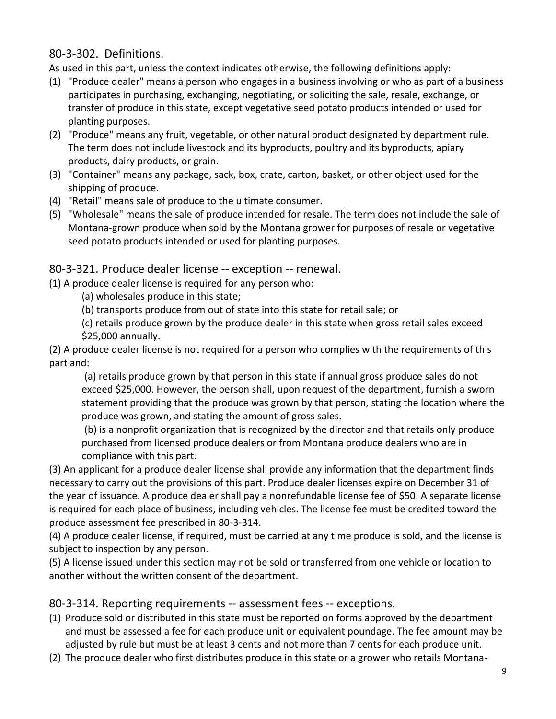### <span id="page-8-0"></span>80-3-302. Definitions.

As used in this part, unless the context indicates otherwise, the following definitions apply:

- (1) "Produce dealer" means a person who engages in a business involving or who as part of a business participates in purchasing, exchanging, negotiating, or soliciting the sale, resale, exchange, or transfer of produce in this state, except vegetative seed potato products intended or used for planting purposes.
- (2) "Produce" means any fruit, vegetable, or other natural product designated by department rule. The term does not include livestock and its byproducts, poultry and its byproducts, apiary products, dairy products, or grain.
- (3) "Container" means any package, sack, box, crate, carton, basket, or other object used for the shipping of produce.
- (4) "Retail" means sale of produce to the ultimate consumer.
- (5) "Wholesale" means the sale of produce intended for resale. The term does not include the sale of Montana-grown produce when sold by the Montana grower for purposes of resale or vegetative seed potato products intended or used for planting purposes.

### 80-3-321. Produce dealer license -- exception -- renewal.

(1) A produce dealer license is required for any person who:

- (a) wholesales produce in this state;
- (b) transports produce from out of state into this state for retail sale; or
- (c) retails produce grown by the produce dealer in this state when gross retail sales exceed \$25,000 annually.

(2) A produce dealer license is not required for a person who complies with the requirements of this part and:

(a) retails produce grown by that person in this state if annual gross produce sales do not exceed \$25,000. However, the person shall, upon request of the department, furnish a sworn statement providing that the produce was grown by that person, stating the location where the produce was grown, and stating the amount of gross sales.

(b) is a nonprofit organization that is recognized by the director and that retails only produce purchased from licensed produce dealers or from Montana produce dealers who are in compliance with this part.

(3) An applicant for a produce dealer license shall provide any information that the department finds necessary to carry out the provisions of this part. Produce dealer licenses expire on December 31 of the year of issuance. A produce dealer shall pay a nonrefundable license fee of \$50. A separate license is required for each place of business, including vehicles. The license fee must be credited toward the produce assessment fee prescribed in 80-3-314.

(4) A produce dealer license, if required, must be carried at any time produce is sold, and the license is subject to inspection by any person.

(5) A license issued under this section may not be sold or transferred from one vehicle or location to another without the written consent of the department.

80-3-314. Reporting requirements -- assessment fees -- exceptions.

- (1) Produce sold or distributed in this state must be reported on forms approved by the department and must be assessed a fee for each produce unit or equivalent poundage. The fee amount may be adjusted by rule but must be at least 3 cents and not more than 7 cents for each produce unit.
- (2) The produce dealer who first distributes produce in this state or a grower who retails Montana-